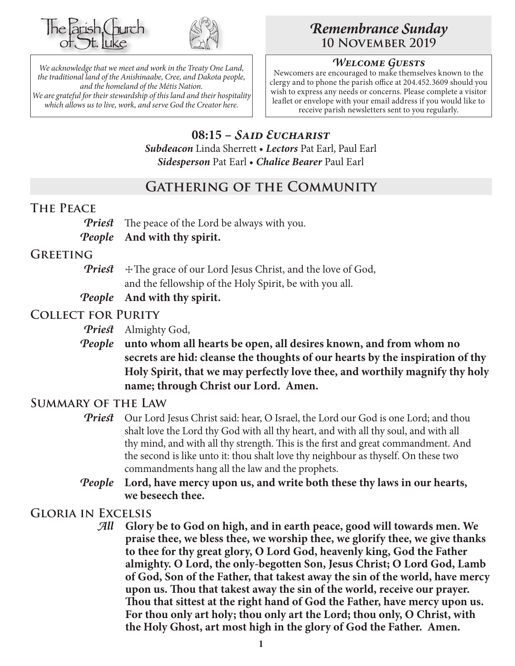



*We acknowledge that we meet and work in the Treaty One Land, the traditional land of the Anishinaabe, Cree, and Dakota people, and the homeland of the Métis Nation. We are grateful for their stewardship of this land and their hospitality which allows us to live, work, and serve God the Creator here.*

# *Remembrance Sunday* **10 November 2019**

## *Welcome Guests*

Newcomers are encouraged to make themselves known to the clergy and to phone the parish office at 204.452.3609 should you wish to express any needs or concerns. Please complete a visitor leaflet or envelope with your email address if you would like to receive parish newsletters sent to you regularly.

# **08:15 –** *Said Eucharist*

*Subdeacon* Linda Sherrett • *Lectors* Pat Earl, Paul Earl *Sidesperson* Pat Earl • *Chalice Bearer* Paul Earl

## **Gathering of the Community**

## **The Peace**

*Priest* The peace of the Lord be always with you.

*People* **And with thy spirit.**

## **Greeting**

- *Priest*  $\pm$  The grace of our Lord Jesus Christ, and the love of God, and the fellowship of the Holy Spirit, be with you all.
- *People* **And with thy spirit.**

## **Collect for Purity**

*Priest* Almighty God,

*People* **unto whom all hearts be open, all desires known, and from whom no secrets are hid: cleanse the thoughts of our hearts by the inspiration of thy Holy Spirit, that we may perfectly love thee, and worthily magnify thy holy name; through Christ our Lord. Amen.**

## **Summary of the Law**

- **Priest** Our Lord Jesus Christ said: hear, O Israel, the Lord our God is one Lord; and thou shalt love the Lord thy God with all thy heart, and with all thy soul, and with all thy mind, and with all thy strength. This is the first and great commandment. And the second is like unto it: thou shalt love thy neighbour as thyself. On these two commandments hang all the law and the prophets.
- *People* **Lord, have mercy upon us, and write both these thy laws in our hearts, we beseech thee.**

## **Gloria in Excelsis**

*All* **Glory be to God on high, and in earth peace, good will towards men. We praise thee, we bless thee, we worship thee, we glorify thee, we give thanks to thee for thy great glory, O Lord God, heavenly king, God the Father almighty. O Lord, the only-begotten Son, Jesus Christ; O Lord God, Lamb of God, Son of the Father, that takest away the sin of the world, have mercy upon us. Thou that takest away the sin of the world, receive our prayer. Thou that sittest at the right hand of God the Father, have mercy upon us. For thou only art holy; thou only art the Lord; thou only, O Christ, with the Holy Ghost, art most high in the glory of God the Father. Amen.**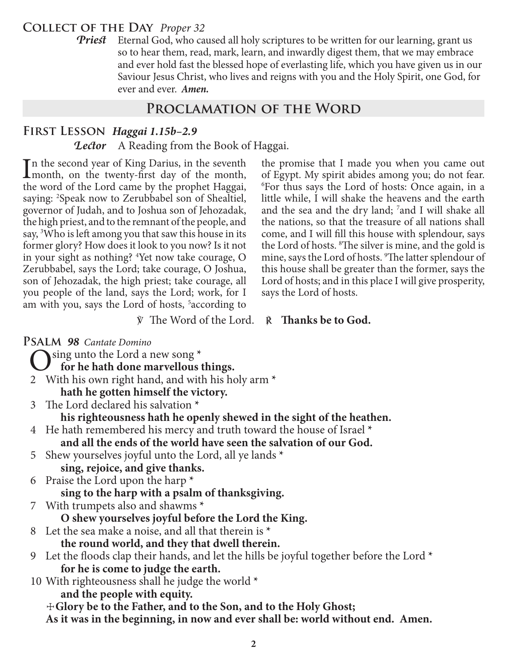## **Collect of the Day** *Proper 32*

**Priest** Eternal God, who caused all holy scriptures to be written for our learning, grant us so to hear them, read, mark, learn, and inwardly digest them, that we may embrace and ever hold fast the blessed hope of everlasting life, which you have given us in our Saviour Jesus Christ, who lives and reigns with you and the Holy Spirit, one God, for ever and ever.*Amen.*

## **Proclamation of the Word**

## **First Lesson** *Haggai 1.15b–2.9*

#### *Lector* A Reading from the Book of Haggai.

In the second year of King Darius, in the seventh<br>
month, on the twenty-first day of the month,<br>
the word of the Lard same by the monthat Hessai month, on the twenty-first day of the month, the word of the Lord came by the prophet Haggai, saying: 2 Speak now to Zerubbabel son of Shealtiel, governor of Judah, and to Joshua son of Jehozadak, the high priest, and to the remnant of the people, and say, <sup>3</sup>Who is left among you that saw this house in its former glory? How does it look to you now? Is it not in your sight as nothing? 4 Yet now take courage, O Zerubbabel, says the Lord; take courage, O Joshua, son of Jehozadak, the high priest; take courage, all you people of the land, says the Lord; work, for I am with you, says the Lord of hosts, <sup>5</sup>according to

the promise that I made you when you came out of Egypt. My spirit abides among you; do not fear. 6 For thus says the Lord of hosts: Once again, in a little while, I will shake the heavens and the earth and the sea and the dry land; <sup>7</sup> and I will shake all the nations, so that the treasure of all nations shall come, and I will fill this house with splendour, says the Lord of hosts. 8 The silver is mine, and the gold is mine, says the Lord of hosts. 9 The latter splendour of this house shall be greater than the former, says the Lord of hosts; and in this place I will give prosperity, says the Lord of hosts.

#### ℣ The Word of the Lord. ℟ **Thanks be to God.**

#### **Psalm** *98 Cantate Domino*

O sing unto the Lord a new song **\* for he hath done marvellous things.**

- 2 With his own right hand, and with his holy arm **\* hath he gotten himself the victory.**
- 3 The Lord declared his salvation **\***

**his righteousness hath he openly shewed in the sight of the heathen.**

- 4 He hath remembered his mercy and truth toward the house of Israel **\* and all the ends of the world have seen the salvation of our God.**
- 5 Shew yourselves joyful unto the Lord, all ye lands **\* sing, rejoice, and give thanks.**

6 Praise the Lord upon the harp **\***

**sing to the harp with a psalm of thanksgiving.**

7 With trumpets also and shawms **\***

**O shew yourselves joyful before the Lord the King.**

- 8 Let the sea make a noise, and all that therein is **\* the round world, and they that dwell therein.**
- 9 Let the floods clap their hands, and let the hills be joyful together before the Lord **\* for he is come to judge the earth.**
- 10 With righteousness shall he judge the world **\***

**and the people with equity.**

☩**Glory be to the Father, and to the Son, and to the Holy Ghost;**

**As it was in the beginning, in now and ever shall be: world without end. Amen.**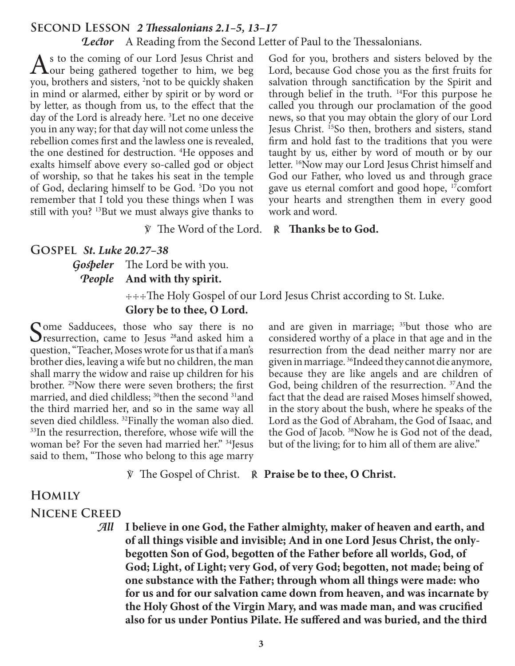# **Second Lesson** *2 Thessalonians 2.1–5, 13–17*

*Lector* A Reading from the Second Letter of Paul to the Thessalonians.

 $A<sup>s</sup>$  to the coming of our Lord Jesus Christ and  $A<sup>o</sup>$  being gathered together to him, we beg weak has a suid-ly chalon you, brothers and sisters, <sup>2</sup>not to be quickly shaken in mind or alarmed, either by spirit or by word or by letter, as though from us, to the effect that the day of the Lord is already here. 3 Let no one deceive you in any way; for that day will not come unless the rebellion comes first and the lawless one is revealed, the one destined for destruction. 4 He opposes and exalts himself above every so-called god or object of worship, so that he takes his seat in the temple of God, declaring himself to be God. 5 Do you not remember that I told you these things when I was still with you? <sup>13</sup>But we must always give thanks to

God for you, brothers and sisters beloved by the Lord, because God chose you as the first fruits for salvation through sanctification by the Spirit and through belief in the truth. 14For this purpose he called you through our proclamation of the good news, so that you may obtain the glory of our Lord Jesus Christ. 15So then, brothers and sisters, stand firm and hold fast to the traditions that you were taught by us, either by word of mouth or by our letter. <sup>16</sup>Now may our Lord Jesus Christ himself and God our Father, who loved us and through grace gave us eternal comfort and good hope, 17comfort your hearts and strengthen them in every good work and word.

℣ The Word of the Lord. ℟ **Thanks be to God.**

#### **Gospel** *St. Luke 20.27–38*

## *Gospeler* The Lord be with you. *People* **And with thy spirit.**

 ☩☩☩The Holy Gospel of our Lord Jesus Christ according to St. Luke. **Glory be to thee, O Lord.**

Come Sadducees, those who say there is no **O** resurrection, came to Jesus  $^{28}$  and asked him a question, "Teacher, Moses wrote for us that if a man's brother dies, leaving a wife but no children, the man shall marry the widow and raise up children for his brother. 29Now there were seven brothers; the first married, and died childless; <sup>30</sup>then the second <sup>31</sup> and the third married her, and so in the same way all seven died childless. 32Finally the woman also died. <sup>33</sup>In the resurrection, therefore, whose wife will the woman be? For the seven had married her." <sup>34</sup>Jesus said to them, "Those who belong to this age marry

and are given in marriage; <sup>35</sup>but those who are considered worthy of a place in that age and in the resurrection from the dead neither marry nor are given in marriage. 36Indeed they cannot die anymore, because they are like angels and are children of God, being children of the resurrection. <sup>37</sup>And the fact that the dead are raised Moses himself showed, in the story about the bush, where he speaks of the Lord as the God of Abraham, the God of Isaac, and the God of Jacob. 38Now he is God not of the dead, but of the living; for to him all of them are alive."

℣ The Gospel of Christ. ℟ **Praise be to thee, O Christ.**

# **Homily Nicene Creed**

*All* **I believe in one God, the Father almighty, maker of heaven and earth, and of all things visible and invisible; And in one Lord Jesus Christ, the onlybegotten Son of God, begotten of the Father before all worlds, God, of God; Light, of Light; very God, of very God; begotten, not made; being of one substance with the Father; through whom all things were made: who for us and for our salvation came down from heaven, and was incarnate by the Holy Ghost of the Virgin Mary, and was made man, and was crucified also for us under Pontius Pilate. He suffered and was buried, and the third**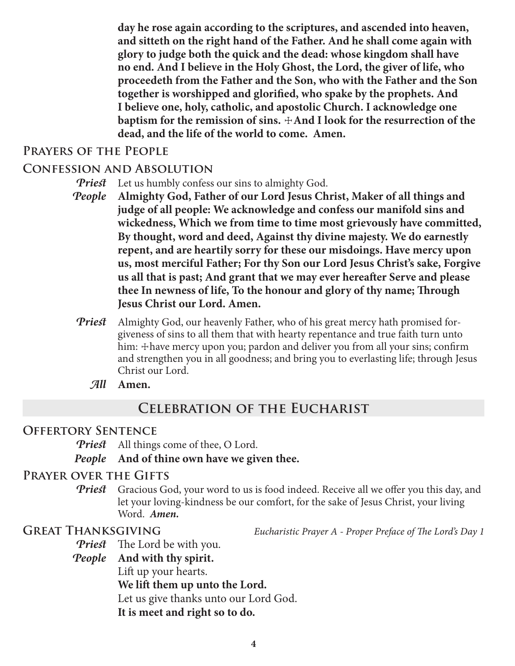**day he rose again according to the scriptures, and ascended into heaven, and sitteth on the right hand of the Father. And he shall come again with glory to judge both the quick and the dead: whose kingdom shall have no end. And I believe in the Holy Ghost, the Lord, the giver of life, who proceedeth from the Father and the Son, who with the Father and the Son together is worshipped and glorified, who spake by the prophets. And I believe one, holy, catholic, and apostolic Church. I acknowledge one baptism for the remission of sins.**  $\pm$ **And I look for the resurrection of the dead, and the life of the world to come. Amen.**

## **Prayers of the People**

### **Confession and Absolution**

- *Priest* Let us humbly confess our sins to almighty God.
- *People* **Almighty God, Father of our Lord Jesus Christ, Maker of all things and judge of all people: We acknowledge and confess our manifold sins and wickedness, Which we from time to time most grievously have committed, By thought, word and deed, Against thy divine majesty. We do earnestly repent, and are heartily sorry for these our misdoings. Have mercy upon us, most merciful Father; For thy Son our Lord Jesus Christ's sake, Forgive us all that is past; And grant that we may ever hereafter Serve and please thee In newness of life, To the honour and glory of thy name; Through Jesus Christ our Lord. Amen.**
- *Priest* Almighty God, our heavenly Father, who of his great mercy hath promised forgiveness of sins to all them that with hearty repentance and true faith turn unto him: + have mercy upon you; pardon and deliver you from all your sins; confirm and strengthen you in all goodness; and bring you to everlasting life; through Jesus Christ our Lord.
	- *All* **Amen.**

## **Celebration of the Eucharist**

## **Offertory Sentence**

*Priest* All things come of thee, O Lord.

#### *People* **And of thine own have we given thee.**

#### **Prayer over the Gifts**

**Priest** Gracious God, your word to us is food indeed. Receive all we offer you this day, and let your loving-kindness be our comfort, for the sake of Jesus Christ, your living Word. *Amen.*

**Great Thanksgiving** *Eucharistic Prayer A - Proper Preface of The Lord's Day 1*

*Priest* The Lord be with you.

*People* **And with thy spirit.**

Lift up your hearts.

**We lift them up unto the Lord.**

Let us give thanks unto our Lord God.

**It is meet and right so to do.**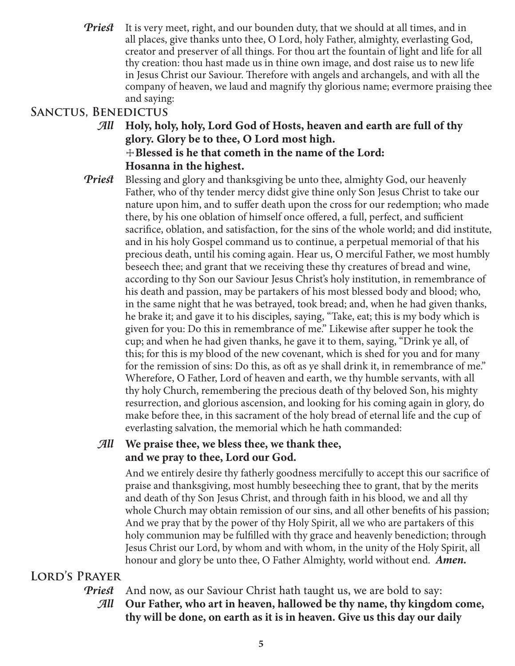*Priest* It is very meet, right, and our bounden duty, that we should at all times, and in all places, give thanks unto thee, O Lord, holy Father, almighty, everlasting God, creator and preserver of all things. For thou art the fountain of light and life for all thy creation: thou hast made us in thine own image, and dost raise us to new life in Jesus Christ our Saviour. Therefore with angels and archangels, and with all the company of heaven, we laud and magnify thy glorious name; evermore praising thee and saying:

# **Sanctus, Benedictus**

- *All* **Holy, holy, holy, Lord God of Hosts, heaven and earth are full of thy glory. Glory be to thee, O Lord most high.** ☩**Blessed is he that cometh in the name of the Lord: Hosanna in the highest.**
- **Priest** Blessing and glory and thanksgiving be unto thee, almighty God, our heavenly Father, who of thy tender mercy didst give thine only Son Jesus Christ to take our nature upon him, and to suffer death upon the cross for our redemption; who made there, by his one oblation of himself once offered, a full, perfect, and sufficient sacrifice, oblation, and satisfaction, for the sins of the whole world; and did institute, and in his holy Gospel command us to continue, a perpetual memorial of that his precious death, until his coming again. Hear us, O merciful Father, we most humbly beseech thee; and grant that we receiving these thy creatures of bread and wine, according to thy Son our Saviour Jesus Christ's holy institution, in remembrance of his death and passion, may be partakers of his most blessed body and blood; who, in the same night that he was betrayed, took bread; and, when he had given thanks, he brake it; and gave it to his disciples, saying, "Take, eat; this is my body which is given for you: Do this in remembrance of me." Likewise after supper he took the cup; and when he had given thanks, he gave it to them, saying, "Drink ye all, of this; for this is my blood of the new covenant, which is shed for you and for many for the remission of sins: Do this, as oft as ye shall drink it, in remembrance of me." Wherefore, O Father, Lord of heaven and earth, we thy humble servants, with all thy holy Church, remembering the precious death of thy beloved Son, his mighty resurrection, and glorious ascension, and looking for his coming again in glory, do make before thee, in this sacrament of the holy bread of eternal life and the cup of everlasting salvation, the memorial which he hath commanded:

## *All* **We praise thee, we bless thee, we thank thee, and we pray to thee, Lord our God.**

 And we entirely desire thy fatherly goodness mercifully to accept this our sacrifice of praise and thanksgiving, most humbly beseeching thee to grant, that by the merits and death of thy Son Jesus Christ, and through faith in his blood, we and all thy whole Church may obtain remission of our sins, and all other benefits of his passion; And we pray that by the power of thy Holy Spirit, all we who are partakers of this holy communion may be fulfilled with thy grace and heavenly benediction; through Jesus Christ our Lord, by whom and with whom, in the unity of the Holy Spirit, all honour and glory be unto thee, O Father Almighty, world without end. *Amen.*

# **Lord's Prayer**

*Priest* And now, as our Saviour Christ hath taught us, we are bold to say:

*All* **Our Father, who art in heaven, hallowed be thy name, thy kingdom come, thy will be done, on earth as it is in heaven. Give us this day our daily**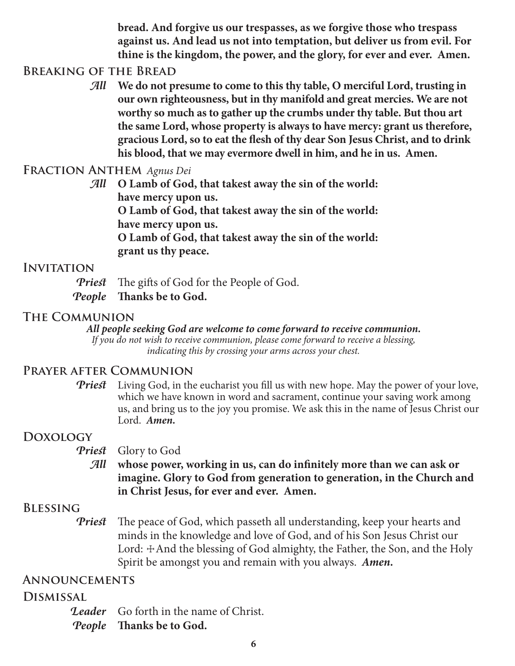**bread. And forgive us our trespasses, as we forgive those who trespass against us. And lead us not into temptation, but deliver us from evil. For thine is the kingdom, the power, and the glory, for ever and ever. Amen.**

## **Breaking of the Bread**

*All* **We do not presume to come to this thy table, O merciful Lord, trusting in our own righteousness, but in thy manifold and great mercies. We are not worthy so much as to gather up the crumbs under thy table. But thou art the same Lord, whose property is always to have mercy: grant us therefore, gracious Lord, so to eat the flesh of thy dear Son Jesus Christ, and to drink his blood, that we may evermore dwell in him, and he in us. Amen.**

## **Fraction Anthem** *Agnus Dei*

*All* **O Lamb of God, that takest away the sin of the world: have mercy upon us. O Lamb of God, that takest away the sin of the world: have mercy upon us. O Lamb of God, that takest away the sin of the world: grant us thy peace.**

## **INVITATION**

*Priest* The gifts of God for the People of God. *People* **Thanks be to God.**

## **The Communion**

#### *All people seeking God are welcome to come forward to receive communion.*

*If you do not wish to receive communion, please come forward to receive a blessing, indicating this by crossing your arms across your chest.*

## **Prayer after Communion**

*Priest* Living God, in the eucharist you fill us with new hope. May the power of your love, which we have known in word and sacrament, continue your saving work among us, and bring us to the joy you promise. We ask this in the name of Jesus Christ our Lord. *Amen.*

## **Doxology**

#### *Priest* Glory to God

*All* **whose power, working in us, can do infinitely more than we can ask or imagine. Glory to God from generation to generation, in the Church and in Christ Jesus, for ever and ever. Amen.**

## **Blessing**

*Priest* The peace of God, which passeth all understanding, keep your hearts and minds in the knowledge and love of God, and of his Son Jesus Christ our Lord:  $\pm$ And the blessing of God almighty, the Father, the Son, and the Holy Spirit be amongst you and remain with you always. *Amen.*

## **Announcements**

## **Dismissal**

*Leader* Go forth in the name of Christ.

*People* **Thanks be to God.**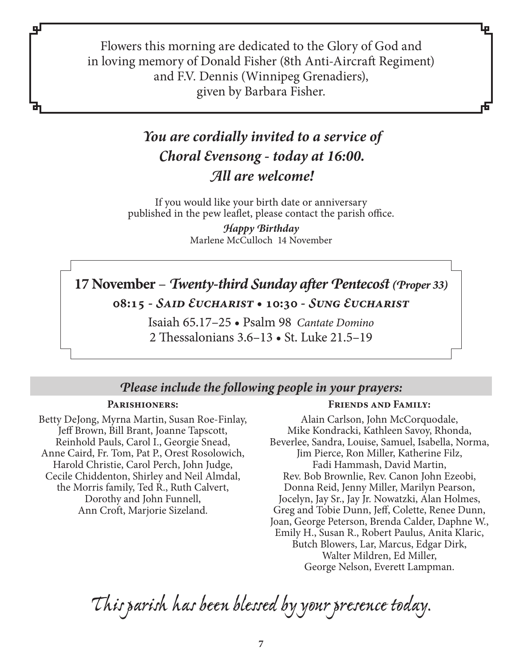Flowers this morning are dedicated to the Glory of God and in loving memory of Donald Fisher (8th Anti-Aircraft Regiment) and F.V. Dennis (Winnipeg Grenadiers), given by Barbara Fisher.

# *You are cordially invited to a service of Choral Evensong - today at 16:00. All are welcome!*

If you would like your birth date or anniversary published in the pew leaflet, please contact the parish office.

> Marlene McCulloch 14 November *Happy Birthday*

# **17 November** – *Twenty-third Sunday after Pentecost (Proper 33)* **08:15 -** *Said Eucharist* **• 10:30 -** *Sung Eucharist*

Isaiah 65.17–25 • Psalm 98 *Cantate Domino* 2 Thessalonians 3.6–13 • St. Luke 21.5–19

# *Please include the following people in your prayers:*

#### **Parishioners:**

qЈ

Betty DeJong, Myrna Martin, Susan Roe-Finlay, Jeff Brown, Bill Brant, Joanne Tapscott, Reinhold Pauls, Carol I., Georgie Snead, Anne Caird, Fr. Tom, Pat P., Orest Rosolowich, Harold Christie, Carol Perch, John Judge, Cecile Chiddenton, Shirley and Neil Almdal, the Morris family, Ted R., Ruth Calvert, Dorothy and John Funnell, Ann Croft, Marjorie Sizeland.

#### **Friends and Family:**

Alain Carlson, John McCorquodale, Mike Kondracki, Kathleen Savoy, Rhonda, Beverlee, Sandra, Louise, Samuel, Isabella, Norma, Jim Pierce, Ron Miller, Katherine Filz, Fadi Hammash, David Martin, Rev. Bob Brownlie, Rev. Canon John Ezeobi, Donna Reid, Jenny Miller, Marilyn Pearson, Jocelyn, Jay Sr., Jay Jr. Nowatzki, Alan Holmes, Greg and Tobie Dunn, Jeff, Colette, Renee Dunn, Joan, George Peterson, Brenda Calder, Daphne W., Emily H., Susan R., Robert Paulus, Anita Klaric, Butch Blowers, Lar, Marcus, Edgar Dirk, Walter Mildren, Ed Miller, George Nelson, Everett Lampman.

*This parish has been blessed by your presence today.*